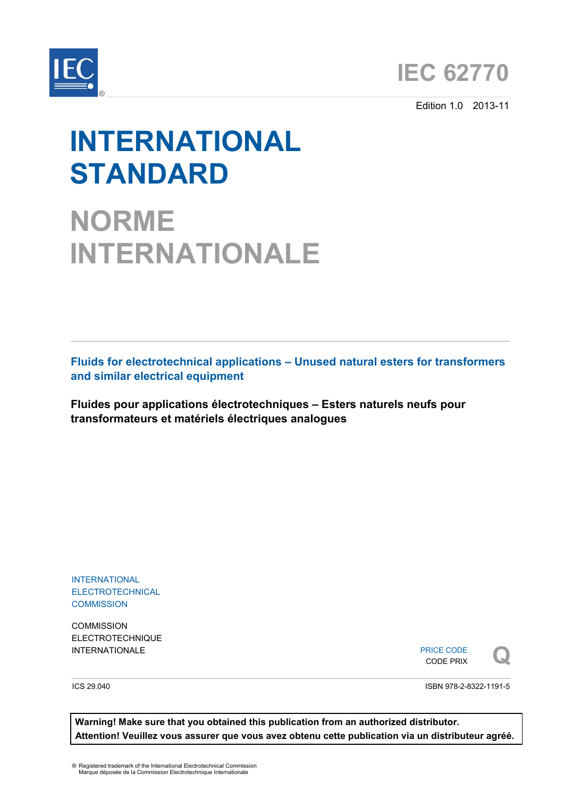



Edition 1.0 2013-11

# **INTERNATIONAL STANDARD**

**NORME INTERNATIONALE**

**Fluids for electrotechnical applications – Unused natural esters for transformers and similar electrical equipment**

**Fluides pour applications électrotechniques – Esters naturels neufs pour transformateurs et matériels électriques analogues**

INTERNATIONAL **ELECTROTECHNICAL COMMISSION** 

**COMMISSION** ELECTROTECHNIQUE

INTERNATIONALE PRICE CODE PRIX PRICE CODE CODE PRIX



ICS 29.040

ISBN 978-2-8322-1191-5

**Warning! Make sure that you obtained this publication from an authorized distributor. Attention! Veuillez vous assurer que vous avez obtenu cette publication via un distributeur agréé.**

® Registered trademark of the International Electrotechnical Commission Marque déposée de la Commission Electrotechnique Internationale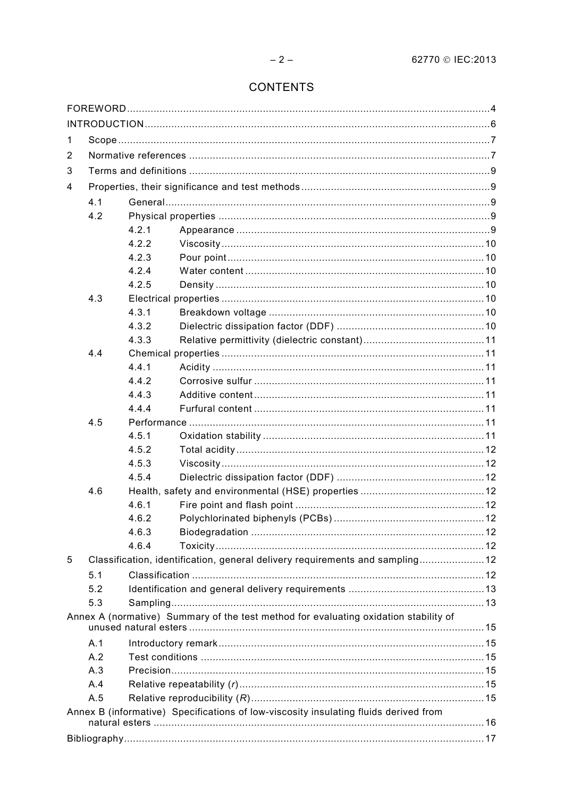$-2-$ 

# **CONTENTS**

| 1 |     |       |                                                                                      |  |  |  |
|---|-----|-------|--------------------------------------------------------------------------------------|--|--|--|
| 2 |     |       |                                                                                      |  |  |  |
| 3 |     |       |                                                                                      |  |  |  |
| 4 |     |       |                                                                                      |  |  |  |
|   | 4.1 |       |                                                                                      |  |  |  |
|   | 4.2 |       |                                                                                      |  |  |  |
|   |     | 4.2.1 |                                                                                      |  |  |  |
|   |     | 4.2.2 |                                                                                      |  |  |  |
|   |     | 4.2.3 |                                                                                      |  |  |  |
|   |     | 4.2.4 |                                                                                      |  |  |  |
|   |     | 4.2.5 |                                                                                      |  |  |  |
|   | 4.3 |       |                                                                                      |  |  |  |
|   |     | 4.3.1 |                                                                                      |  |  |  |
|   |     | 4.3.2 |                                                                                      |  |  |  |
|   |     | 4.3.3 |                                                                                      |  |  |  |
|   | 4.4 |       |                                                                                      |  |  |  |
|   |     | 4.4.1 |                                                                                      |  |  |  |
|   |     | 4.4.2 |                                                                                      |  |  |  |
|   |     | 4.4.3 |                                                                                      |  |  |  |
|   |     | 4.4.4 |                                                                                      |  |  |  |
|   | 4.5 |       |                                                                                      |  |  |  |
|   |     | 4.5.1 |                                                                                      |  |  |  |
|   |     | 4.5.2 |                                                                                      |  |  |  |
|   |     | 4.5.3 |                                                                                      |  |  |  |
|   |     | 4.5.4 |                                                                                      |  |  |  |
|   | 4.6 |       |                                                                                      |  |  |  |
|   |     | 4.6.1 |                                                                                      |  |  |  |
|   |     | 4.6.2 |                                                                                      |  |  |  |
|   |     | 4.6.3 |                                                                                      |  |  |  |
|   |     | 4.6.4 |                                                                                      |  |  |  |
| 5 |     |       | Classification, identification, general delivery requirements and sampling 12        |  |  |  |
|   | 5.1 |       |                                                                                      |  |  |  |
|   | 5.2 |       |                                                                                      |  |  |  |
|   | 5.3 |       |                                                                                      |  |  |  |
|   |     |       | Annex A (normative) Summary of the test method for evaluating oxidation stability of |  |  |  |
|   | A.1 |       |                                                                                      |  |  |  |
|   | A.2 |       |                                                                                      |  |  |  |
|   | A.3 |       |                                                                                      |  |  |  |
|   | A.4 |       |                                                                                      |  |  |  |
|   | A.5 |       |                                                                                      |  |  |  |
|   |     |       | Annex B (informative) Specifications of low-viscosity insulating fluids derived from |  |  |  |
|   |     |       |                                                                                      |  |  |  |
|   |     |       |                                                                                      |  |  |  |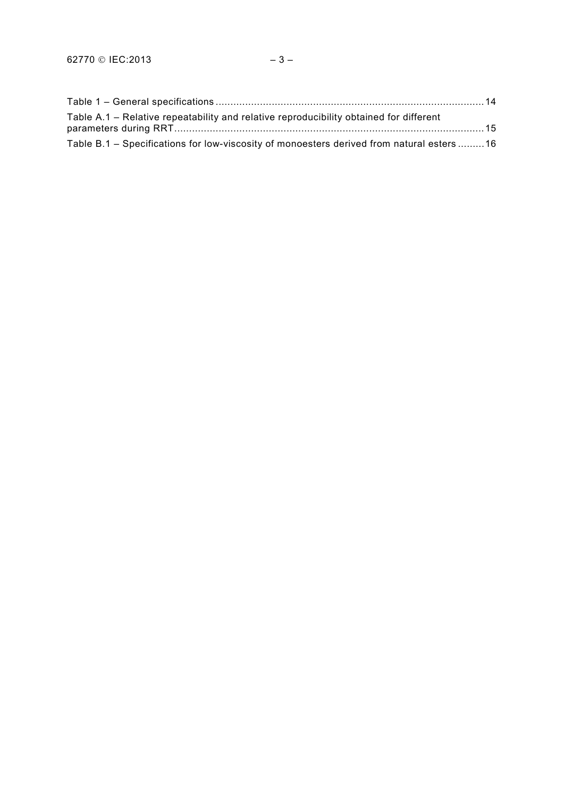| Table A.1 – Relative repeatability and relative reproducibility obtained for different    |  |
|-------------------------------------------------------------------------------------------|--|
| Table B.1 – Specifications for low-viscosity of monoesters derived from natural esters 16 |  |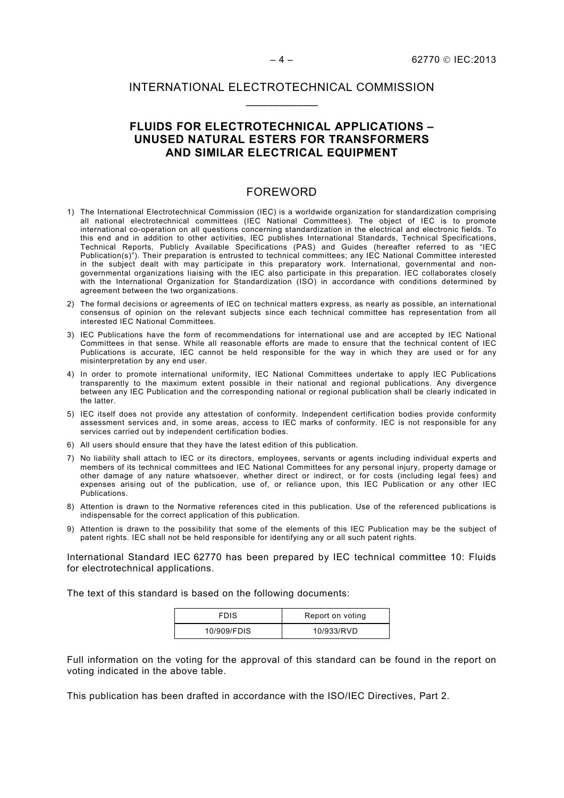## INTERNATIONAL ELECTROTECHNICAL COMMISSION \_\_\_\_\_\_\_\_\_\_\_\_

# **FLUIDS FOR ELECTROTECHNICAL APPLICATIONS – UNUSED NATURAL ESTERS FOR TRANSFORMERS AND SIMILAR ELECTRICAL EQUIPMENT**

## FOREWORD

- <span id="page-3-0"></span>1) The International Electrotechnical Commission (IEC) is a worldwide organization for standardization comprising all national electrotechnical committees (IEC National Committees). The object of IEC is to promote international co-operation on all questions concerning standardization in the electrical and electronic fields. To this end and in addition to other activities, IEC publishes International Standards, Technical Specifications, Technical Reports, Publicly Available Specifications (PAS) and Guides (hereafter referred to as "IEC Publication(s)"). Their preparation is entrusted to technical committees; any IEC National Committee interested in the subject dealt with may participate in this preparatory work. International, governmental and nongovernmental organizations liaising with the IEC also participate in this preparation. IEC collaborates closely with the International Organization for Standardization (ISO) in accordance with conditions determined by agreement between the two organizations.
- 2) The formal decisions or agreements of IEC on technical matters express, as nearly as possible, an international consensus of opinion on the relevant subjects since each technical committee has representation from all interested IEC National Committees.
- 3) IEC Publications have the form of recommendations for international use and are accepted by IEC National Committees in that sense. While all reasonable efforts are made to ensure that the technical content of IEC Publications is accurate, IEC cannot be held responsible for the way in which they are used or for any misinterpretation by any end user.
- 4) In order to promote international uniformity, IEC National Committees undertake to apply IEC Publications transparently to the maximum extent possible in their national and regional publications. Any divergence between any IEC Publication and the corresponding national or regional publication shall be clearly indicated in the latter.
- 5) IEC itself does not provide any attestation of conformity. Independent certification bodies provide conformity assessment services and, in some areas, access to IEC marks of conformity. IEC is not responsible for any services carried out by independent certification bodies.
- 6) All users should ensure that they have the latest edition of this publication.
- 7) No liability shall attach to IEC or its directors, employees, servants or agents including individual experts and members of its technical committees and IEC National Committees for any personal injury, property damage or other damage of any nature whatsoever, whether direct or indirect, or for costs (including legal fees) and expenses arising out of the publication, use of, or reliance upon, this IEC Publication or any other IEC Publications.
- 8) Attention is drawn to the Normative references cited in this publication. Use of the referenced publications is indispensable for the correct application of this publication.
- 9) Attention is drawn to the possibility that some of the elements of this IEC Publication may be the subject of patent rights. IEC shall not be held responsible for identifying any or all such patent rights.

International Standard IEC 62770 has been prepared by IEC technical committee 10: Fluids for electrotechnical applications.

The text of this standard is based on the following documents:

| <b>FDIS</b> | Report on voting |
|-------------|------------------|
| 10/909/FDIS | 10/933/RVD       |

Full information on the voting for the approval of this standard can be found in the report on voting indicated in the above table.

This publication has been drafted in accordance with the ISO/IEC Directives, Part 2.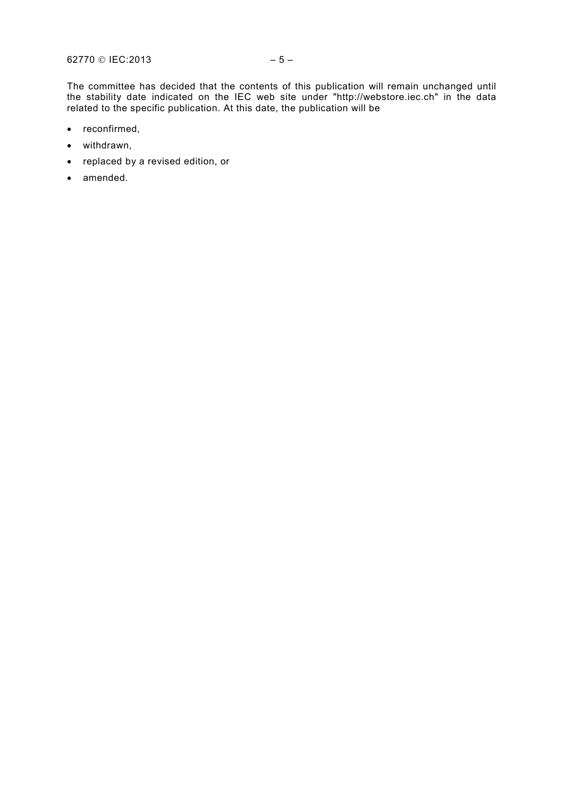The committee has decided that the contents of this publication will remain unchanged until the stability date indicated on the IEC web site under "http://webstore.iec.ch" in the data related to the specific publication. At this date, the publication will be

- reconfirmed,
- withdrawn,
- replaced by a revised edition, or
- amended.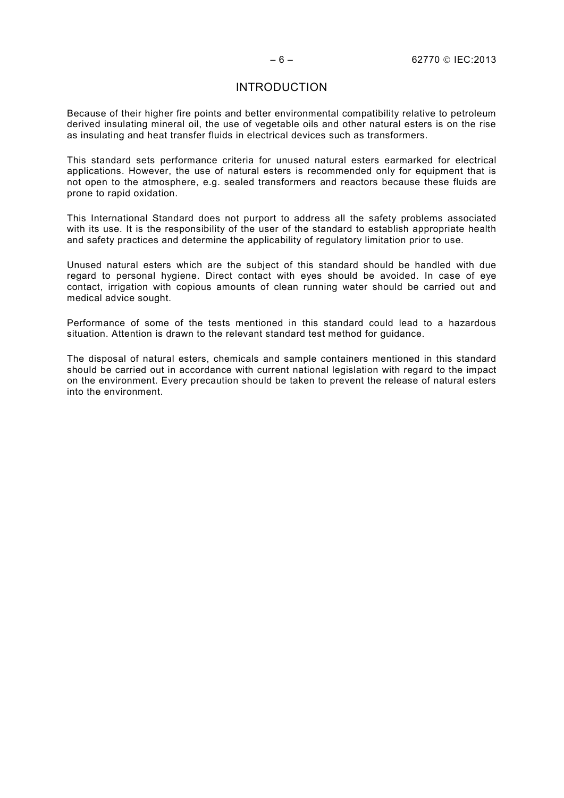## INTRODUCTION

<span id="page-5-0"></span>Because of their higher fire points and better environmental compatibility relative to petroleum derived insulating mineral oil, the use of vegetable oils and other natural esters is on the rise as insulating and heat transfer fluids in electrical devices such as transformers.

This standard sets performance criteria for unused natural esters earmarked for electrical applications. However, the use of natural esters is recommended only for equipment that is not open to the atmosphere, e.g. sealed transformers and reactors because these fluids are prone to rapid oxidation.

This International Standard does not purport to address all the safety problems associated with its use. It is the responsibility of the user of the standard to establish appropriate health and safety practices and determine the applicability of regulatory limitation prior to use.

Unused natural esters which are the subject of this standard should be handled with due regard to personal hygiene. Direct contact with eyes should be avoided. In case of eye contact, irrigation with copious amounts of clean running water should be carried out and medical advice sought.

Performance of some of the tests mentioned in this standard could lead to a hazardous situation. Attention is drawn to the relevant standard test method for guidance.

The disposal of natural esters, chemicals and sample containers mentioned in this standard should be carried out in accordance with current national legislation with regard to the impact on the environment. Every precaution should be taken to prevent the release of natural esters into the environment.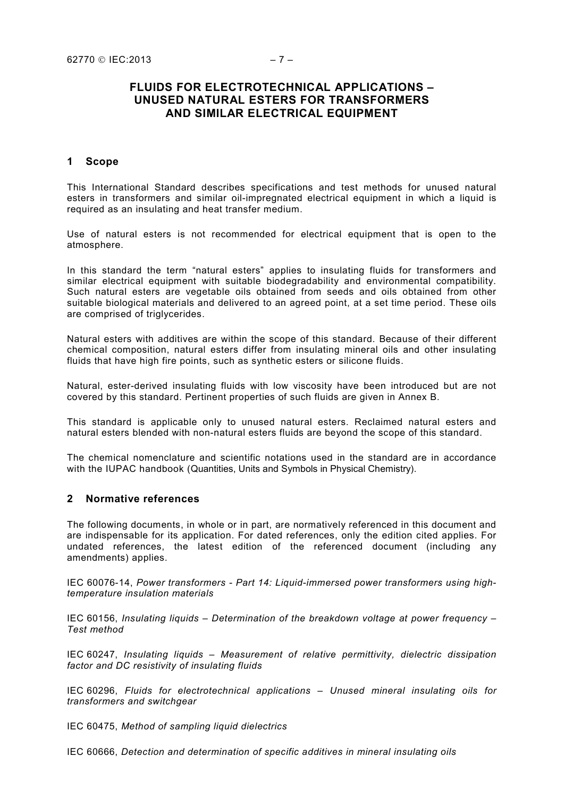# **FLUIDS FOR ELECTROTECHNICAL APPLICATIONS – UNUSED NATURAL ESTERS FOR TRANSFORMERS AND SIMILAR ELECTRICAL EQUIPMENT**

### <span id="page-6-0"></span>**1 Scope**

This International Standard describes specifications and test methods for unused natural esters in transformers and similar oil-impregnated electrical equipment in which a liquid is required as an insulating and heat transfer medium.

Use of natural esters is not recommended for electrical equipment that is open to the atmosphere.

In this standard the term "natural esters" applies to insulating fluids for transformers and similar electrical equipment with suitable biodegradability and environmental compatibility. Such natural esters are vegetable oils obtained from seeds and oils obtained from other suitable biological materials and delivered to an agreed point, at a set time period. These oils are comprised of triglycerides.

Natural esters with additives are within the scope of this standard. Because of their different chemical composition, natural esters differ from insulating mineral oils and other insulating fluids that have high fire points, such as synthetic esters or silicone fluids.

Natural, ester-derived insulating fluids with low viscosity have been introduced but are not covered by this standard. Pertinent properties of such fluids are given in Annex B.

This standard is applicable only to unused natural esters. Reclaimed natural esters and natural esters blended with non-natural esters fluids are beyond the scope of this standard.

The chemical nomenclature and scientific notations used in the standard are in accordance with the IUPAC handbook (Quantities, Units and Symbols in Physical Chemistry).

#### <span id="page-6-1"></span>**2 Normative references**

The following documents, in whole or in part, are normatively referenced in this document and are indispensable for its application. For dated references, only the edition cited applies. For undated references, the latest edition of the referenced document (including any amendments) applies.

IEC 60076-14, *Power transformers - Part 14: Liquid-immersed power transformers using hightemperature insulation materials*

IEC 60156, *Insulating liquids – Determination of the breakdown voltage at power frequency – Test method*

IEC 60247, *Insulating liquids – Measurement of relative permittivity, dielectric dissipation factor and DC resistivity of insulating fluids*

IEC 60296, *Fluids for electrotechnical applications – Unused mineral insulating oils for transformers and switchgear*

IEC 60475, *Method of sampling liquid dielectrics*

IEC 60666, *Detection and determination of specific additives in mineral insulating oils*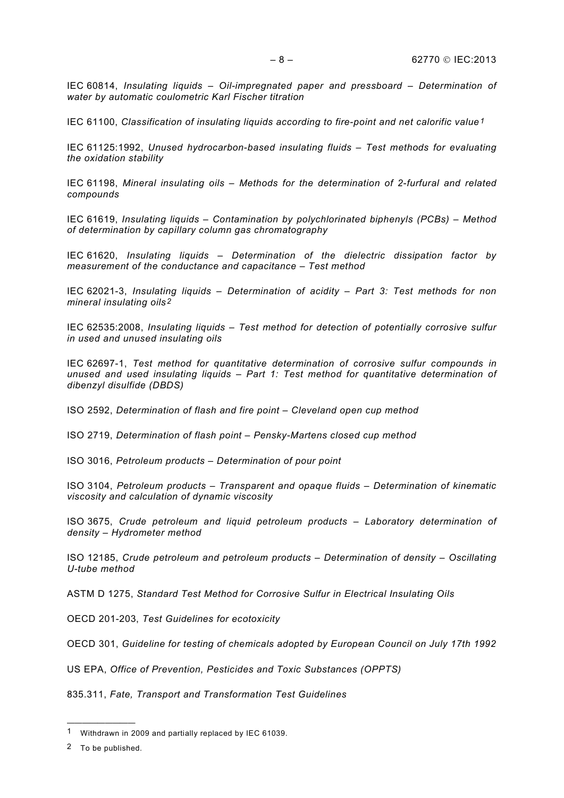IEC 60814, *Insulating liquids – Oil-impregnated paper and pressboard – Determination of water by automatic coulometric Karl Fischer titration*

IEC 61100, *Classification of insulating liquids according to fire-point and net calorific value[1](#page-7-0)*

IEC 61125:1992, *Unused hydrocarbon-based insulating fluids – Test methods for evaluating the oxidation stability*

IEC 61198, *Mineral insulating oils – Methods for the determination of 2-furfural and related compounds*

IEC 61619, *Insulating liquids – Contamination by polychlorinated biphenyls (PCBs) – Method of determination by capillary column gas chromatography*

IEC 61620, *Insulating liquids – Determination of the dielectric dissipation factor by measurement of the conductance and capacitance – Test method*

IEC 62021-3, *Insulating liquids – Determination of acidity – Part 3: Test methods for non mineral insulating oils [2](#page-7-1)*

IEC 62535:2008, *Insulating liquids – Test method for detection of potentially corrosive sulfur in used and unused insulating oils*

IEC 62697-1, *Test method for quantitative determination of corrosive sulfur compounds in unused and used insulating liquids – Part 1: Test method for quantitative determination of dibenzyl disulfide (DBDS)*

ISO 2592, *Determination of flash and fire point – Cleveland open cup method*

ISO 2719, *Determination of flash point – Pensky-Martens closed cup method*

ISO 3016, *Petroleum products – Determination of pour point*

ISO 3104, *Petroleum products – Transparent and opaque fluids – Determination of kinematic viscosity and calculation of dynamic viscosity*

ISO 3675, *Crude petroleum and liquid petroleum products – Laboratory determination of density – Hydrometer method*

ISO 12185, *Crude petroleum and petroleum products – Determination of density – Oscillating U-tube method*

ASTM D 1275, *Standard Test Method for Corrosive Sulfur in Electrical Insulating Oils*

OECD 201-203, *Test Guidelines for ecotoxicity*

OECD 301, *Guideline for testing of chemicals adopted by European Council on July 17th 1992*

US EPA, *Office of Prevention, Pesticides and Toxic Substances (OPPTS)* 

835.311, *Fate, Transport and Transformation Test Guidelines*

—————————

<span id="page-7-0"></span><sup>1</sup> Withdrawn in 2009 and partially replaced by IEC 61039.

<span id="page-7-1"></span><sup>2</sup> To be published.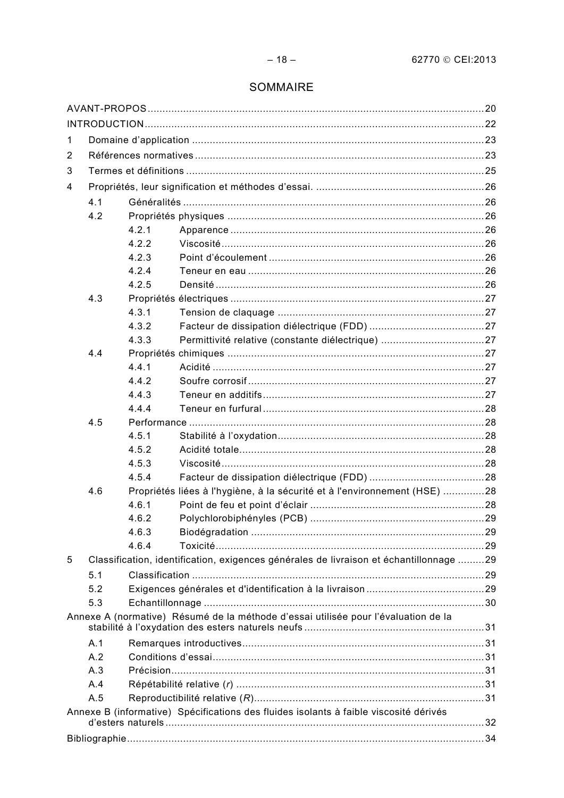# SOMMAIRE

| 1 |                                                                                        |       |                                                                                       |  |  |  |
|---|----------------------------------------------------------------------------------------|-------|---------------------------------------------------------------------------------------|--|--|--|
| 2 |                                                                                        |       |                                                                                       |  |  |  |
| 3 |                                                                                        |       |                                                                                       |  |  |  |
| 4 |                                                                                        |       |                                                                                       |  |  |  |
|   | 4.1                                                                                    |       |                                                                                       |  |  |  |
|   | 4.2                                                                                    |       |                                                                                       |  |  |  |
|   |                                                                                        | 4.2.1 |                                                                                       |  |  |  |
|   |                                                                                        | 4.2.2 |                                                                                       |  |  |  |
|   |                                                                                        | 4.2.3 |                                                                                       |  |  |  |
|   |                                                                                        | 4.2.4 |                                                                                       |  |  |  |
|   |                                                                                        | 4.2.5 |                                                                                       |  |  |  |
|   | 4.3                                                                                    |       |                                                                                       |  |  |  |
|   |                                                                                        | 4.3.1 |                                                                                       |  |  |  |
|   |                                                                                        | 4.3.2 |                                                                                       |  |  |  |
|   |                                                                                        | 4.3.3 |                                                                                       |  |  |  |
|   | 4.4                                                                                    |       |                                                                                       |  |  |  |
|   |                                                                                        | 4.4.1 |                                                                                       |  |  |  |
|   |                                                                                        | 4.4.2 |                                                                                       |  |  |  |
|   |                                                                                        | 4.4.3 |                                                                                       |  |  |  |
|   |                                                                                        | 4.4.4 |                                                                                       |  |  |  |
|   | 4.5                                                                                    |       |                                                                                       |  |  |  |
|   |                                                                                        | 4.5.1 |                                                                                       |  |  |  |
|   |                                                                                        | 4.5.2 |                                                                                       |  |  |  |
|   |                                                                                        | 4.5.3 |                                                                                       |  |  |  |
|   |                                                                                        | 4.5.4 |                                                                                       |  |  |  |
|   | 4.6                                                                                    |       | Propriétés liées à l'hygiène, à la sécurité et à l'environnement (HSE) 28             |  |  |  |
|   |                                                                                        | 4.6.1 |                                                                                       |  |  |  |
|   |                                                                                        | 4.6.2 |                                                                                       |  |  |  |
|   |                                                                                        | 4.6.3 |                                                                                       |  |  |  |
|   |                                                                                        | 4.6.4 |                                                                                       |  |  |  |
| 5 | Classification, identification, exigences générales de livraison et échantillonnage 29 |       |                                                                                       |  |  |  |
|   | 5.1                                                                                    |       |                                                                                       |  |  |  |
|   | 5.2                                                                                    |       |                                                                                       |  |  |  |
|   | 5.3                                                                                    |       |                                                                                       |  |  |  |
|   |                                                                                        |       | Annexe A (normative) Résumé de la méthode d'essai utilisée pour l'évaluation de la    |  |  |  |
|   | A.1                                                                                    |       |                                                                                       |  |  |  |
|   | A.2                                                                                    |       |                                                                                       |  |  |  |
|   | A.3                                                                                    |       |                                                                                       |  |  |  |
|   | A.4                                                                                    |       |                                                                                       |  |  |  |
|   | A.5                                                                                    |       |                                                                                       |  |  |  |
|   |                                                                                        |       | Annexe B (informative) Spécifications des fluides isolants à faible viscosité dérivés |  |  |  |
|   |                                                                                        |       |                                                                                       |  |  |  |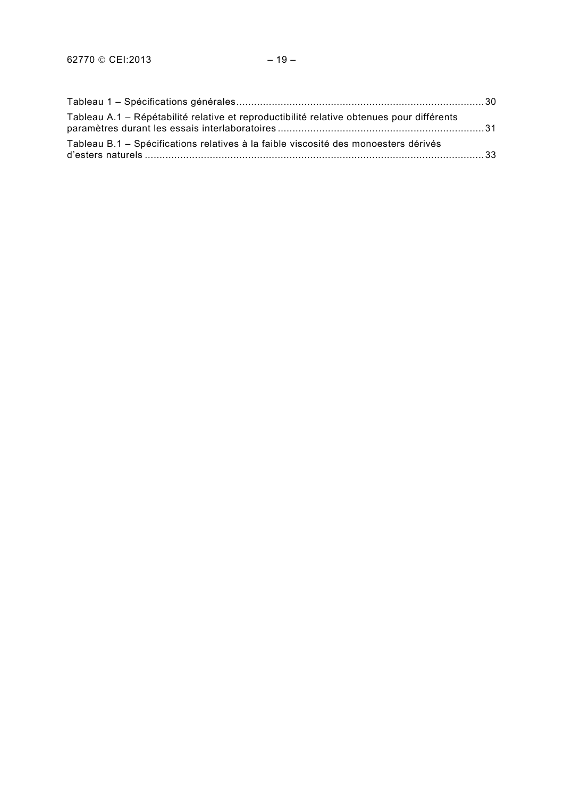| Tableau A.1 – Répétabilité relative et reproductibilité relative obtenues pour différents |  |
|-------------------------------------------------------------------------------------------|--|
| Tableau B.1 – Spécifications relatives à la faible viscosité des monoesters dérivés       |  |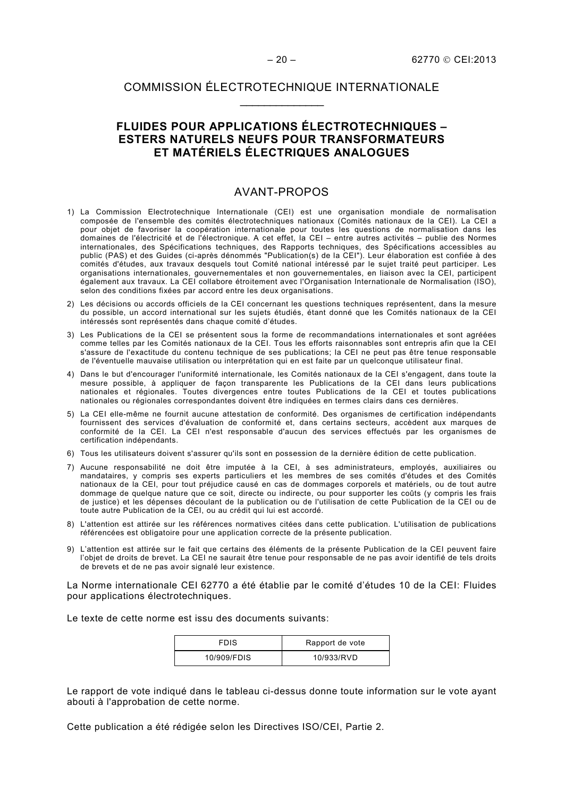# COMMISSION ÉLECTROTECHNIQUE INTERNATIONALE \_\_\_\_\_\_\_\_\_\_\_\_\_\_

# **FLUIDES POUR APPLICATIONS ÉLECTROTECHNIQUES – ESTERS NATURELS NEUFS POUR TRANSFORMATEURS ET MATÉRIELS ÉLECTRIQUES ANALOGUES**

## AVANT-PROPOS

- <span id="page-10-0"></span>1) La Commission Electrotechnique Internationale (CEI) est une organisation mondiale de normalisation composée de l'ensemble des comités électrotechniques nationaux (Comités nationaux de la CEI). La CEI a pour objet de favoriser la coopération internationale pour toutes les questions de normalisation dans les domaines de l'électricité et de l'électronique. A cet effet, la CEI – entre autres activités – publie des Normes internationales, des Spécifications techniques, des Rapports techniques, des Spécifications accessibles au public (PAS) et des Guides (ci-après dénommés "Publication(s) de la CEI"). Leur élaboration est confiée à des comités d'études, aux travaux desquels tout Comité national intéressé par le sujet traité peut participer. Les organisations internationales, gouvernementales et non gouvernementales, en liaison avec la CEI, participent également aux travaux. La CEI collabore étroitement avec l'Organisation Internationale de Normalisation (ISO), selon des conditions fixées par accord entre les deux organisations.
- 2) Les décisions ou accords officiels de la CEI concernant les questions techniques représentent, dans la mesure du possible, un accord international sur les sujets étudiés, étant donné que les Comités nationaux de la CEI intéressés sont représentés dans chaque comité d'études.
- 3) Les Publications de la CEI se présentent sous la forme de recommandations internationales et sont agréées comme telles par les Comités nationaux de la CEI. Tous les efforts raisonnables sont entrepris afin que la CEI s'assure de l'exactitude du contenu technique de ses publications; la CEI ne peut pas être tenue responsable de l'éventuelle mauvaise utilisation ou interprétation qui en est faite par un quelconque utilisateur final.
- 4) Dans le but d'encourager l'uniformité internationale, les Comités nationaux de la CEI s'engagent, dans toute la mesure possible, à appliquer de façon transparente les Publications de la CEI dans leurs publications nationales et régionales. Toutes divergences entre toutes Publications de la CEI et toutes publications nationales ou régionales correspondantes doivent être indiquées en termes clairs dans ces dernières.
- 5) La CEI elle-même ne fournit aucune attestation de conformité. Des organismes de certification indépendants fournissent des services d'évaluation de conformité et, dans certains secteurs, accèdent aux marques de conformité de la CEI. La CEI n'est responsable d'aucun des services effectués par les organismes de certification indépendants.
- 6) Tous les utilisateurs doivent s'assurer qu'ils sont en possession de la dernière édition de cette publication.
- 7) Aucune responsabilité ne doit être imputée à la CEI, à ses administrateurs, employés, auxiliaires ou mandataires, y compris ses experts particuliers et les membres de ses comités d'études et des Comités nationaux de la CEI, pour tout préjudice causé en cas de dommages corporels et matériels, ou de tout autre dommage de quelque nature que ce soit, directe ou indirecte, ou pour supporter les coûts (y compris les frais de justice) et les dépenses découlant de la publication ou de l'utilisation de cette Publication de la CEI ou de toute autre Publication de la CEI, ou au crédit qui lui est accordé.
- 8) L'attention est attirée sur les références normatives citées dans cette publication. L'utilisation de publications référencées est obligatoire pour une application correcte de la présente publication.
- 9) L'attention est attirée sur le fait que certains des éléments de la présente Publication de la CEI peuvent faire l'objet de droits de brevet. La CEI ne saurait être tenue pour responsable de ne pas avoir identifié de tels droits de brevets et de ne pas avoir signalé leur existence.

La Norme internationale CEI 62770 a été établie par le comité d'études 10 de la CEI: Fluides pour applications électrotechniques.

Le texte de cette norme est issu des documents suivants:

| <b>FDIS</b> | Rapport de vote |
|-------------|-----------------|
| 10/909/FDIS | 10/933/RVD      |

Le rapport de vote indiqué dans le tableau ci-dessus donne toute information sur le vote ayant abouti à l'approbation de cette norme.

Cette publication a été rédigée selon les Directives ISO/CEI, Partie 2.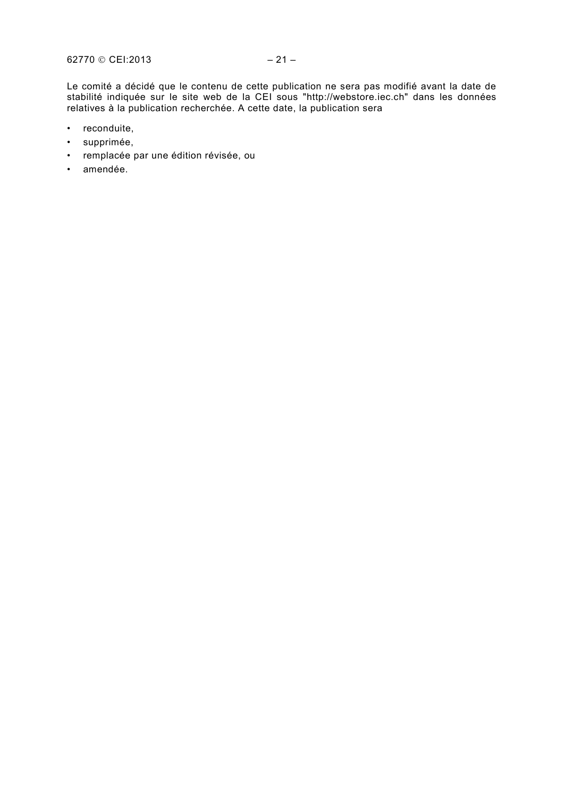Le comité a décidé que le contenu de cette publication ne sera pas modifié avant la date de stabilité indiquée sur le site web de la CEI sous "http://webstore.iec.ch" dans les données relatives à la publication recherchée. A cette date, la publication sera

- reconduite,
- supprimée,
- remplacée par une édition révisée, ou
- amendée.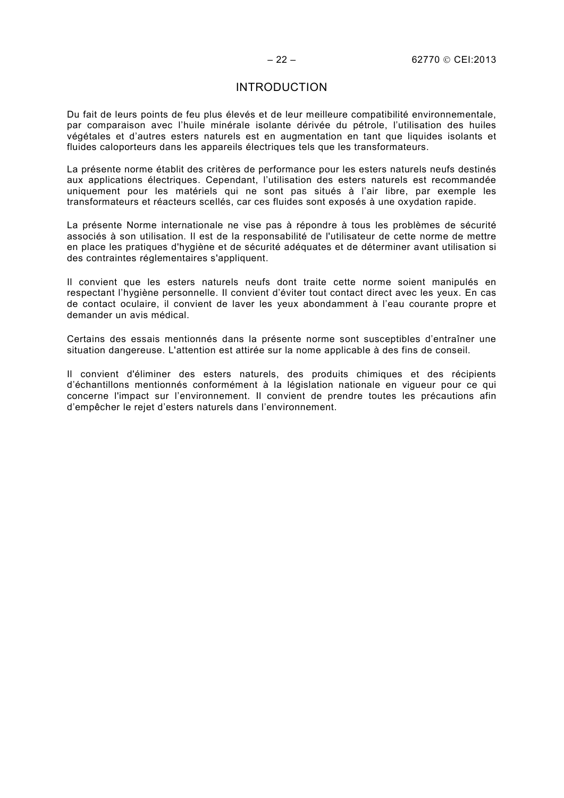## INTRODUCTION

<span id="page-12-0"></span>Du fait de leurs points de feu plus élevés et de leur meilleure compatibilité environnementale, par comparaison avec l'huile minérale isolante dérivée du pétrole, l'utilisation des huiles végétales et d'autres esters naturels est en augmentation en tant que liquides isolants et fluides caloporteurs dans les appareils électriques tels que les transformateurs.

La présente norme établit des critères de performance pour les esters naturels neufs destinés aux applications électriques. Cependant, l'utilisation des esters naturels est recommandée uniquement pour les matériels qui ne sont pas situés à l'air libre, par exemple les transformateurs et réacteurs scellés, car ces fluides sont exposés à une oxydation rapide.

La présente Norme internationale ne vise pas à répondre à tous les problèmes de sécurité associés à son utilisation. Il est de la responsabilité de l'utilisateur de cette norme de mettre en place les pratiques d'hygiène et de sécurité adéquates et de déterminer avant utilisation si des contraintes réglementaires s'appliquent.

Il convient que les esters naturels neufs dont traite cette norme soient manipulés en respectant l'hygiène personnelle. Il convient d'éviter tout contact direct avec les yeux. En cas de contact oculaire, il convient de laver les yeux abondamment à l'eau courante propre et demander un avis médical.

Certains des essais mentionnés dans la présente norme sont susceptibles d'entraîner une situation dangereuse. L'attention est attirée sur la nome applicable à des fins de conseil.

Il convient d'éliminer des esters naturels, des produits chimiques et des récipients d'échantillons mentionnés conformément à la législation nationale en vigueur pour ce qui concerne l'impact sur l'environnement. Il convient de prendre toutes les précautions afin d'empêcher le rejet d'esters naturels dans l'environnement.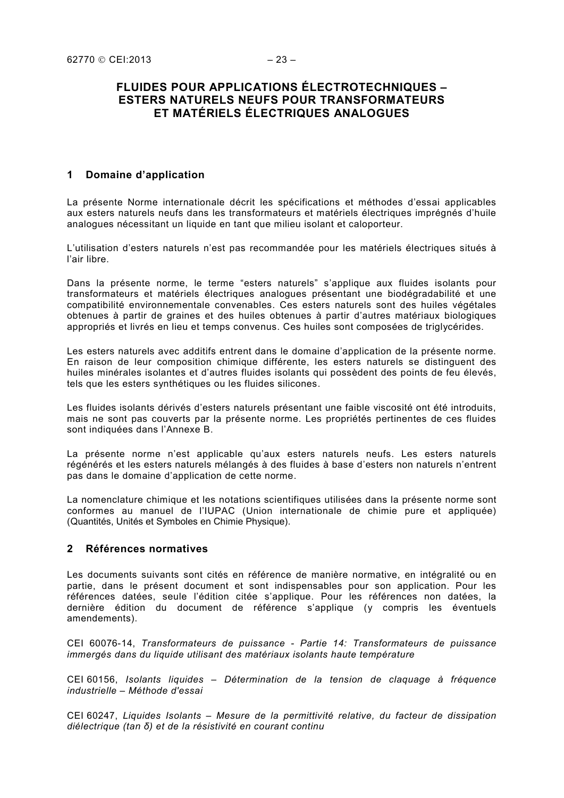## **FLUIDES POUR APPLICATIONS ÉLECTROTECHNIQUES – ESTERS NATURELS NEUFS POUR TRANSFORMATEURS ET MATÉRIELS ÉLECTRIQUES ANALOGUES**

## <span id="page-13-0"></span>**1 Domaine d'application**

La présente Norme internationale décrit les spécifications et méthodes d'essai applicables aux esters naturels neufs dans les transformateurs et matériels électriques imprégnés d'huile analogues nécessitant un liquide en tant que milieu isolant et caloporteur.

L'utilisation d'esters naturels n'est pas recommandée pour les matériels électriques situés à l'air libre.

Dans la présente norme, le terme "esters naturels" s'applique aux fluides isolants pour transformateurs et matériels électriques analogues présentant une biodégradabilité et une compatibilité environnementale convenables. Ces esters naturels sont des huiles végétales obtenues à partir de graines et des huiles obtenues à partir d'autres matériaux biologiques appropriés et livrés en lieu et temps convenus. Ces huiles sont composées de triglycérides.

Les esters naturels avec additifs entrent dans le domaine d'application de la présente norme. En raison de leur composition chimique différente, les esters naturels se distinguent des huiles minérales isolantes et d'autres fluides isolants qui possèdent des points de feu élevés, tels que les esters synthétiques ou les fluides silicones.

Les fluides isolants dérivés d'esters naturels présentant une faible viscosité ont été introduits, mais ne sont pas couverts par la présente norme. Les propriétés pertinentes de ces fluides sont indiquées dans l'Annexe B.

La présente norme n'est applicable qu'aux esters naturels neufs. Les esters naturels régénérés et les esters naturels mélangés à des fluides à base d'esters non naturels n'entrent pas dans le domaine d'application de cette norme.

La nomenclature chimique et les notations scientifiques utilisées dans la présente norme sont conformes au manuel de l'IUPAC (Union internationale de chimie pure et appliquée) (Quantités, Unités et Symboles en Chimie Physique).

#### <span id="page-13-1"></span>**2 Références normatives**

Les documents suivants sont cités en référence de manière normative, en intégralité ou en partie, dans le présent document et sont indispensables pour son application. Pour les références datées, seule l'édition citée s'applique. Pour les références non datées, la dernière édition du document de référence s'applique (y compris les éventuels amendements).

CEI 60076-14, *Transformateurs de puissance - Partie 14: Transformateurs de puissance immergés dans du liquide utilisant des matériaux isolants haute température*

CEI 60156, *Isolants liquides – Détermination de la tension de claquage à fréquence industrielle – Méthode d'essai*

CEI 60247, *Liquides Isolants – Mesure de la permittivité relative, du facteur de dissipation diélectrique (tan δ) et de la résistivité en courant continu*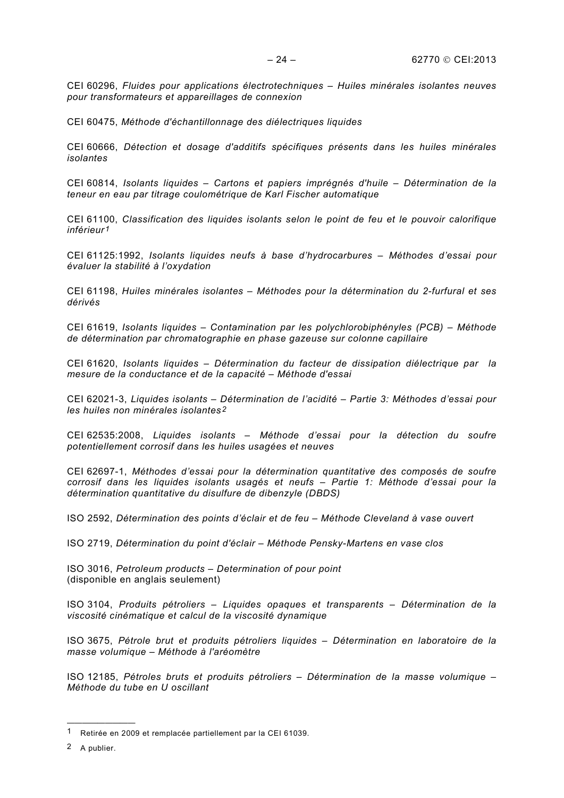CEI 60296, *Fluides pour applications électrotechniques – Huiles minérales isolantes neuves pour transformateurs et appareillages de connexion*

CEI 60475, *Méthode d'échantillonnage des diélectriques liquides*

CEI 60666, *Détection et dosage d'additifs spécifiques présents dans les huiles minérales isolantes*

CEI 60814, *Isolants liquides – Cartons et papiers imprégnés d'huile – Détermination de la teneur en eau par titrage coulométrique de Karl Fischer automatique*

CEI 61100, *Classification des liquides isolants selon le point de feu et le pouvoir calorifique inférieur[1](#page-14-0)*

CEI 61125:1992, *Isolants liquides neufs à base d'hydrocarbures – Méthodes d'essai pour évaluer la stabilité à l'oxydation*

CEI 61198, *Huiles minérales isolantes – Méthodes pour la détermination du 2-furfural et ses dérivés*

CEI 61619, *Isolants liquides – Contamination par les polychlorobiphényles (PCB) – Méthode de détermination par chromatographie en phase gazeuse sur colonne capillaire*

CEI 61620, *Isolants liquides – Détermination du facteur de dissipation diélectrique par la mesure de la conductance et de la capacité – Méthode d'essai* 

CEI 62021-3, *Liquides isolants – Détermination de l'acidité – Partie 3: Méthodes d'essai pour les huiles non minérales isolantes[2](#page-14-1)*

CEI 62535:2008, *Liquides isolants – Méthode d'essai pour la détection du soufre potentiellement corrosif dans les huiles usagées et neuves*

CEI 62697-1, *Méthodes d'essai pour la détermination quantitative des composés de soufre corrosif dans les liquides isolants usagés et neufs – Partie 1: Méthode d'essai pour la détermination quantitative du disulfure de dibenzyle (DBDS)*

ISO 2592, *Détermination des points d'éclair et de feu – Méthode Cleveland à vase ouvert*

ISO 2719, *Détermination du point d'éclair – Méthode Pensky-Martens en vase clos*

ISO 3016, *Petroleum products – Determination of pour point*  (disponible en anglais seulement)

ISO 3104, *Produits pétroliers – Liquides opaques et transparents – Détermination de la viscosité cinématique et calcul de la viscosité dynamique*

ISO 3675, *Pétrole brut et produits pétroliers liquides – Détermination en laboratoire de la masse volumique – Méthode à l'aréomètre*

ISO 12185, *Pétroles bruts et produits pétroliers – Détermination de la masse volumique – Méthode du tube en U oscillant*

—————————

<span id="page-14-0"></span><sup>1</sup> Retirée en 2009 et remplacée partiellement par la CEI 61039.

<span id="page-14-1"></span><sup>2</sup> A publier.